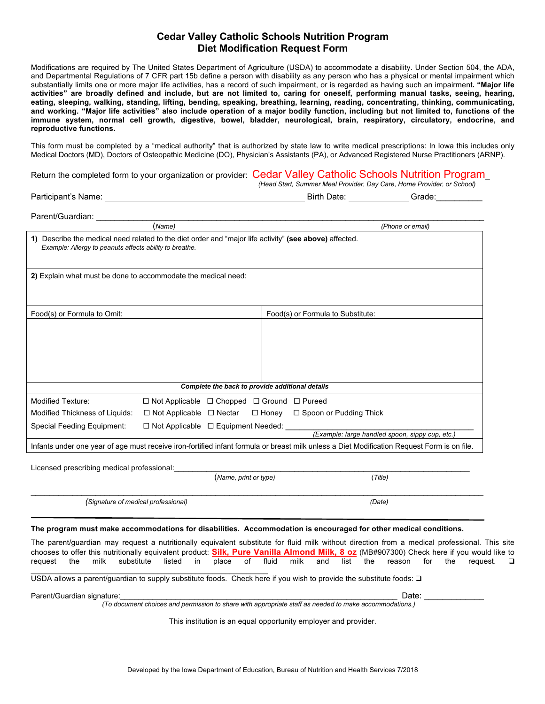## **Cedar Valley Catholic Schools Nutrition Program Diet Modification Request Form**

Modifications are required by The United States Department of Agriculture (USDA) to accommodate a disability. Under Section 504, the ADA, and Departmental Regulations of 7 CFR part 15b define a person with disability as any person who has a physical or mental impairment which substantially limits one or more major life activities, has a record of such impairment, or is regarded as having such an impairment**. "Major life activities" are broadly defined and include, but are not limited to, caring for oneself, performing manual tasks, seeing, hearing, eating, sleeping, walking, standing, lifting, bending, speaking, breathing, learning, reading, concentrating, thinking, communicating, and working. "Major life activities" also include operation of a major bodily function, including but not limited to, functions of the immune system, normal cell growth, digestive, bowel, bladder, neurological, brain, respiratory, circulatory, endocrine, and reproductive functions.** 

This form must be completed by a "medical authority" that is authorized by state law to write medical prescriptions: In Iowa this includes only Medical Doctors (MD), Doctors of Osteopathic Medicine (DO), Physician's Assistants (PA), or Advanced Registered Nurse Practitioners (ARNP).

Return the completed form to your organization or provider: Cedar Valley Catholic Schools Nutrition Program\_

| Darticinant's Namo: |  |
|---------------------|--|

 *(Head Start, Summer Meal Provider, Day Care, Home Provider, or School)* Participant's Name: Call Contract Contract Contract Contract Contract Contract Contract Contract Contract Contract Contract Contract Contract Contract Contract Contract Contract Contract Contract Contract Contract Contract

| Parent/Guardian:                                                                                                                                                  |                                                                  |  |                  |                                                 |  |  |
|-------------------------------------------------------------------------------------------------------------------------------------------------------------------|------------------------------------------------------------------|--|------------------|-------------------------------------------------|--|--|
| (Name)                                                                                                                                                            |                                                                  |  | (Phone or email) |                                                 |  |  |
| 1) Describe the medical need related to the diet order and "major life activity" (see above) affected.<br>Example: Allergy to peanuts affects ability to breathe. |                                                                  |  |                  |                                                 |  |  |
| 2) Explain what must be done to accommodate the medical need:                                                                                                     |                                                                  |  |                  |                                                 |  |  |
| Food(s) or Formula to Omit:                                                                                                                                       |                                                                  |  |                  | Food(s) or Formula to Substitute:               |  |  |
|                                                                                                                                                                   |                                                                  |  |                  |                                                 |  |  |
| Complete the back to provide additional details                                                                                                                   |                                                                  |  |                  |                                                 |  |  |
| <b>Modified Texture:</b>                                                                                                                                          | $\Box$ Not Applicable $\Box$ Chopped $\Box$ Ground $\Box$ Pureed |  |                  |                                                 |  |  |
| Modified Thickness of Liquids:                                                                                                                                    | $\Box$ Not Applicable $\Box$ Nectar $\Box$ Honey                 |  |                  | $\Box$ Spoon or Pudding Thick                   |  |  |
| Special Feeding Equipment:                                                                                                                                        | $\Box$ Not Applicable $\Box$ Equipment Needed:                   |  |                  | (Example: large handled spoon, sippy cup, etc.) |  |  |
| Infants under one year of age must receive iron-fortified infant formula or breast milk unless a Diet Modification Request Form is on file.                       |                                                                  |  |                  |                                                 |  |  |

Licensed prescribing medical professional:

|  |  | (Name, print or type) | 'Title, |
|--|--|-----------------------|---------|
|  |  |                       |         |

 *(Signature of medical professional) (Date)*

**The program must make accommodations for disabilities. Accommodation is encouraged for other medical conditions.**

 $\_$  , and the state of the state of the state of the state of the state of the state of the state of the state of the state of the state of the state of the state of the state of the state of the state of the state of the

The parent/guardian may request a nutritionally equivalent substitute for fluid milk without direction from a medical professional. This site chooses to offer this nutritionally equivalent product: **Silk, Pure Vanilla Almond Milk, 8 oz** (MB#907300) Check here if you would like to request the milk substitute listed in place of fluid milk and list the reason for the request. ❑ \_\_\_\_\_\_\_\_\_\_\_\_\_\_\_\_\_\_\_\_\_\_\_\_\_\_\_\_\_\_\_\_\_\_\_\_\_\_\_\_\_\_\_\_\_\_\_\_\_\_\_\_\_\_\_\_

USDA allows a parent/guardian to supply substitute foods. Check here if you wish to provide the substitute foods: ❑

Parent/Guardian signature:\_\_\_\_\_\_\_\_\_\_\_\_\_\_\_\_\_\_\_\_\_\_\_\_\_\_\_\_\_\_\_\_\_\_\_\_\_\_\_\_\_\_\_\_\_\_\_\_\_\_\_\_\_\_\_\_\_\_\_\_ Date: \_\_\_\_\_\_\_\_\_\_\_\_\_

*(To document choices and permission to share with appropriate staff as needed to make accommodations.)* 

This institution is an equal opportunity employer and provider.